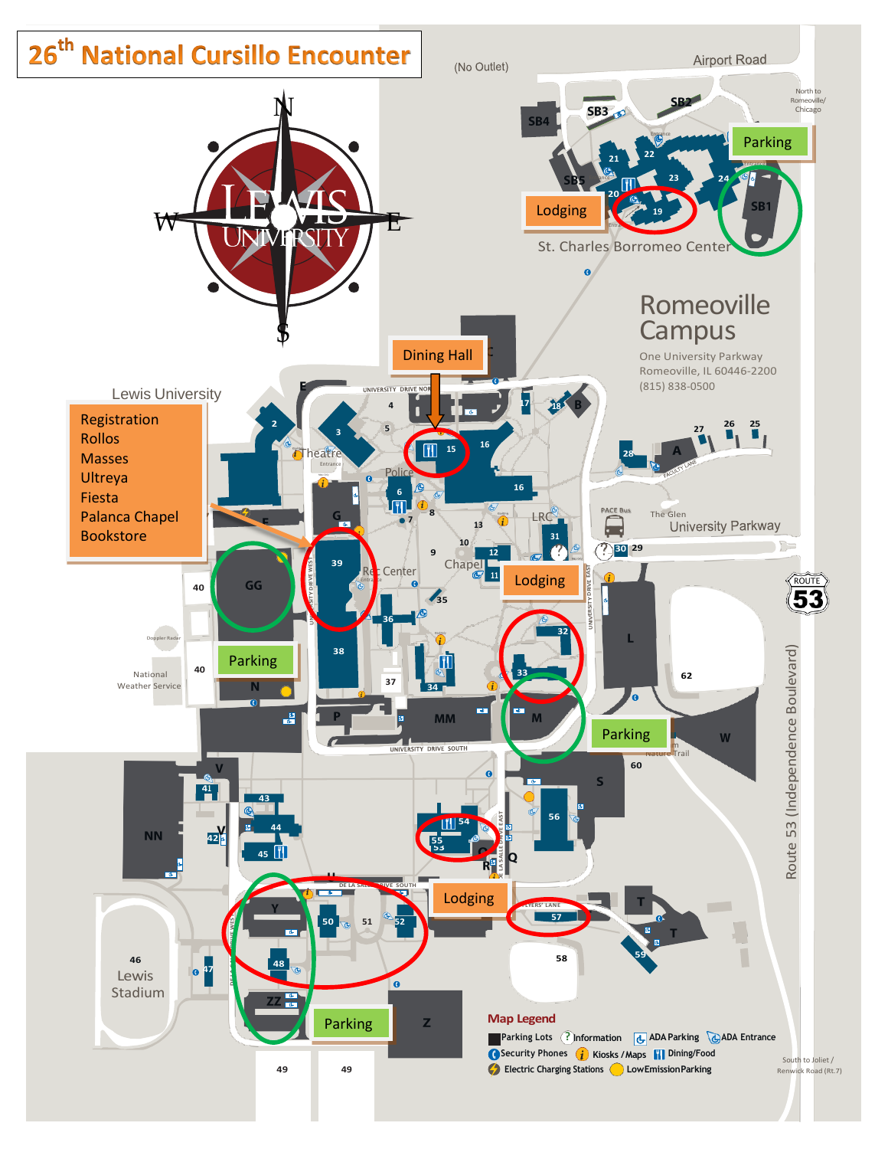